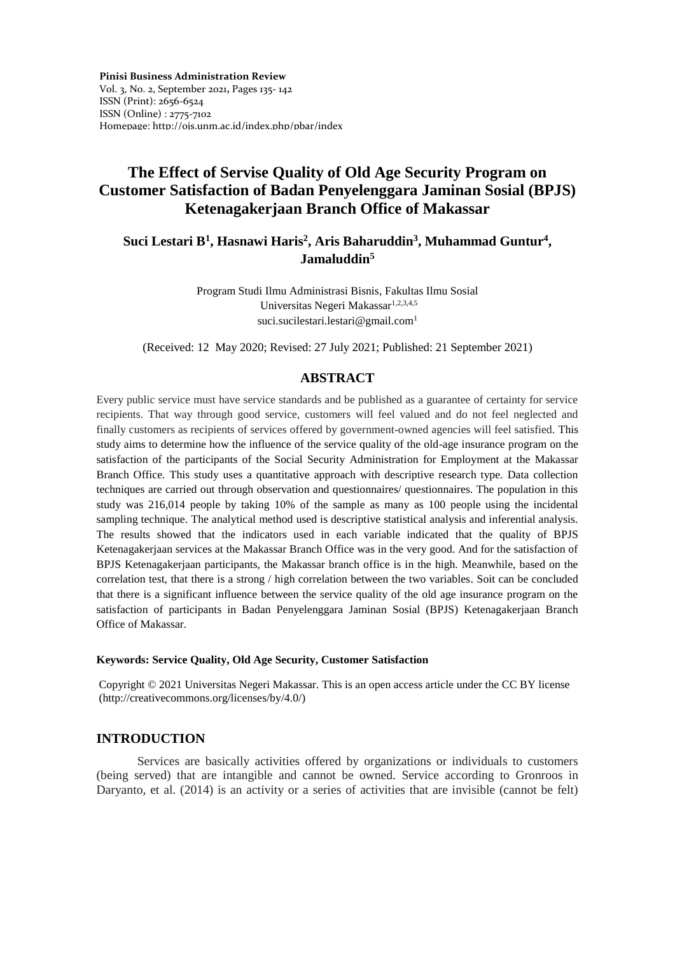**Pinisi Business Administration Review**  Vol. 3, No. 2, September 2021**,** Pages 135- 142 ISSN (Print): 2656-6524 ISSN (Online) : 2775-7102 Homepage: http://ojs.unm.ac.id/index.php/pbar/index

# **The Effect of Servise Quality of Old Age Security Program on Customer Satisfaction of Badan Penyelenggara Jaminan Sosial (BPJS) Ketenagakerjaan Branch Office of Makassar**

# **Suci Lestari B<sup>1</sup> , Hasnawi Haris<sup>2</sup> , Aris Baharuddin<sup>3</sup> , Muhammad Guntur<sup>4</sup> , Jamaluddin<sup>5</sup>**

Program Studi Ilmu Administrasi Bisnis, Fakultas Ilmu Sosial Universitas Negeri Makassar<sup>1,2,3,4,5</sup> [suci.sucilestari.lestari@gmail.com](mailto:suci.sucilestari.lestari@gmail.com)<sup>1</sup>

(Received: 12 May 2020; Revised: 27 July 2021; Published: 21 September 2021)

## **ABSTRACT**

Every public service must have service standards and be published as a guarantee of certainty for service recipients. That way through good service, customers will feel valued and do not feel neglected and finally customers as recipients of services offered by government-owned agencies will feel satisfied. This study aims to determine how the influence of the service quality of the old-age insurance program on the satisfaction of the participants of the Social Security Administration for Employment at the Makassar Branch Office. This study uses a quantitative approach with descriptive research type. Data collection techniques are carried out through observation and questionnaires/ questionnaires. The population in this study was 216,014 people by taking 10% of the sample as many as 100 people using the incidental sampling technique. The analytical method used is descriptive statistical analysis and inferential analysis. The results showed that the indicators used in each variable indicated that the quality of BPJS Ketenagakerjaan services at the Makassar Branch Office was in the very good. And for the satisfaction of BPJS Ketenagakerjaan participants, the Makassar branch office is in the high. Meanwhile, based on the correlation test, that there is a strong / high correlation between the two variables. Soit can be concluded that there is a significant influence between the service quality of the old age insurance program on the satisfaction of participants in Badan Penyelenggara Jaminan Sosial (BPJS) Ketenagakerjaan Branch Office of Makassar.

#### **Keywords: Service Quality, Old Age Security, Customer Satisfaction**

Copyright © 2021 Universitas Negeri Makassar. This is an open access article under the CC BY license (http://creativecommons.org/licenses/by/4.0/)

## **INTRODUCTION**

Services are basically activities offered by organizations or individuals to customers (being served) that are intangible and cannot be owned. Service according to Gronroos in Daryanto, et al. (2014) is an activity or a series of activities that are invisible (cannot be felt)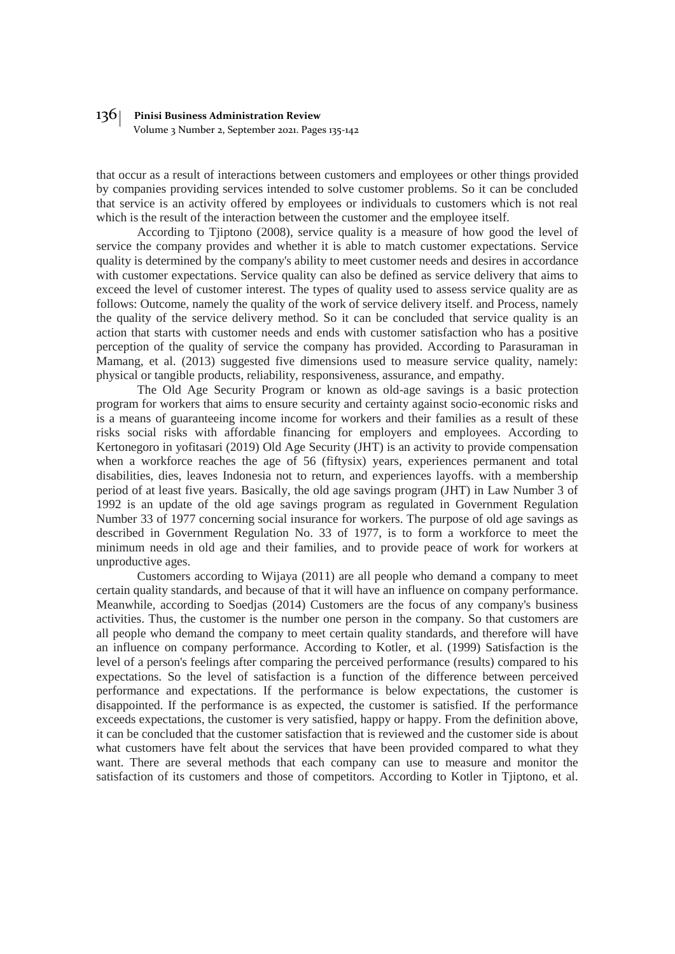Volume 3 Number 2, September 2021. Pages 135-142

that occur as a result of interactions between customers and employees or other things provided by companies providing services intended to solve customer problems. So it can be concluded that service is an activity offered by employees or individuals to customers which is not real which is the result of the interaction between the customer and the employee itself.

According to Tjiptono (2008), service quality is a measure of how good the level of service the company provides and whether it is able to match customer expectations. Service quality is determined by the company's ability to meet customer needs and desires in accordance with customer expectations. Service quality can also be defined as service delivery that aims to exceed the level of customer interest. The types of quality used to assess service quality are as follows: Outcome, namely the quality of the work of service delivery itself. and Process, namely the quality of the service delivery method. So it can be concluded that service quality is an action that starts with customer needs and ends with customer satisfaction who has a positive perception of the quality of service the company has provided. According to Parasuraman in Mamang, et al. (2013) suggested five dimensions used to measure service quality, namely: physical or tangible products, reliability, responsiveness, assurance, and empathy.

The Old Age Security Program or known as old-age savings is a basic protection program for workers that aims to ensure security and certainty against socio-economic risks and is a means of guaranteeing income income for workers and their families as a result of these risks social risks with affordable financing for employers and employees. According to Kertonegoro in yofitasari (2019) Old Age Security (JHT) is an activity to provide compensation when a workforce reaches the age of 56 (fiftysix) years, experiences permanent and total disabilities, dies, leaves Indonesia not to return, and experiences layoffs. with a membership period of at least five years. Basically, the old age savings program (JHT) in Law Number 3 of 1992 is an update of the old age savings program as regulated in Government Regulation Number 33 of 1977 concerning social insurance for workers. The purpose of old age savings as described in Government Regulation No. 33 of 1977, is to form a workforce to meet the minimum needs in old age and their families, and to provide peace of work for workers at unproductive ages.

Customers according to Wijaya (2011) are all people who demand a company to meet certain quality standards, and because of that it will have an influence on company performance. Meanwhile, according to Soedjas (2014) Customers are the focus of any company's business activities. Thus, the customer is the number one person in the company. So that customers are all people who demand the company to meet certain quality standards, and therefore will have an influence on company performance. According to Kotler, et al. (1999) Satisfaction is the level of a person's feelings after comparing the perceived performance (results) compared to his expectations. So the level of satisfaction is a function of the difference between perceived performance and expectations. If the performance is below expectations, the customer is disappointed. If the performance is as expected, the customer is satisfied. If the performance exceeds expectations, the customer is very satisfied, happy or happy. From the definition above, it can be concluded that the customer satisfaction that is reviewed and the customer side is about what customers have felt about the services that have been provided compared to what they want. There are several methods that each company can use to measure and monitor the satisfaction of its customers and those of competitors. According to Kotler in Tjiptono, et al.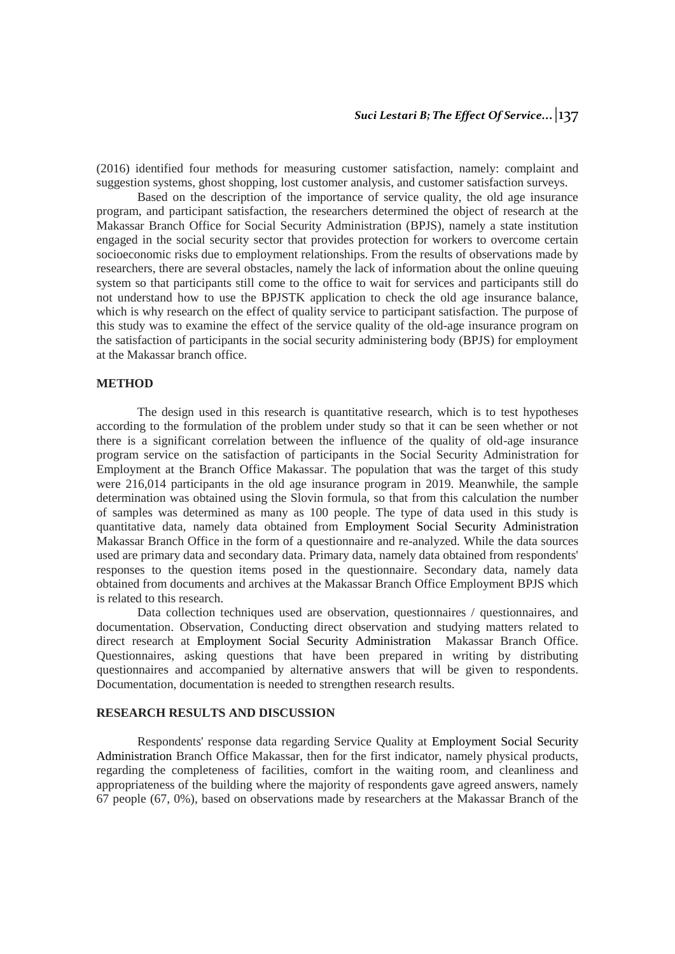(2016) identified four methods for measuring customer satisfaction, namely: complaint and suggestion systems, ghost shopping, lost customer analysis, and customer satisfaction surveys.

Based on the description of the importance of service quality, the old age insurance program, and participant satisfaction, the researchers determined the object of research at the Makassar Branch Office for Social Security Administration (BPJS), namely a state institution engaged in the social security sector that provides protection for workers to overcome certain socioeconomic risks due to employment relationships. From the results of observations made by researchers, there are several obstacles, namely the lack of information about the online queuing system so that participants still come to the office to wait for services and participants still do not understand how to use the BPJSTK application to check the old age insurance balance, which is why research on the effect of quality service to participant satisfaction. The purpose of this study was to examine the effect of the service quality of the old-age insurance program on the satisfaction of participants in the social security administering body (BPJS) for employment at the Makassar branch office.

### **METHOD**

The design used in this research is quantitative research, which is to test hypotheses according to the formulation of the problem under study so that it can be seen whether or not there is a significant correlation between the influence of the quality of old-age insurance program service on the satisfaction of participants in the Social Security Administration for Employment at the Branch Office Makassar. The population that was the target of this study were 216,014 participants in the old age insurance program in 2019. Meanwhile, the sample determination was obtained using the Slovin formula, so that from this calculation the number of samples was determined as many as 100 people. The type of data used in this study is quantitative data, namely data obtained from Employment Social Security Administration Makassar Branch Office in the form of a questionnaire and re-analyzed. While the data sources used are primary data and secondary data. Primary data, namely data obtained from respondents' responses to the question items posed in the questionnaire. Secondary data, namely data obtained from documents and archives at the Makassar Branch Office Employment BPJS which is related to this research.

Data collection techniques used are observation, questionnaires / questionnaires, and documentation. Observation, Conducting direct observation and studying matters related to direct research at Employment Social Security Administration Makassar Branch Office. Questionnaires, asking questions that have been prepared in writing by distributing questionnaires and accompanied by alternative answers that will be given to respondents. Documentation, documentation is needed to strengthen research results.

### **RESEARCH RESULTS AND DISCUSSION**

Respondents' response data regarding Service Quality at Employment Social Security Administration Branch Office Makassar, then for the first indicator, namely physical products, regarding the completeness of facilities, comfort in the waiting room, and cleanliness and appropriateness of the building where the majority of respondents gave agreed answers, namely 67 people (67, 0%), based on observations made by researchers at the Makassar Branch of the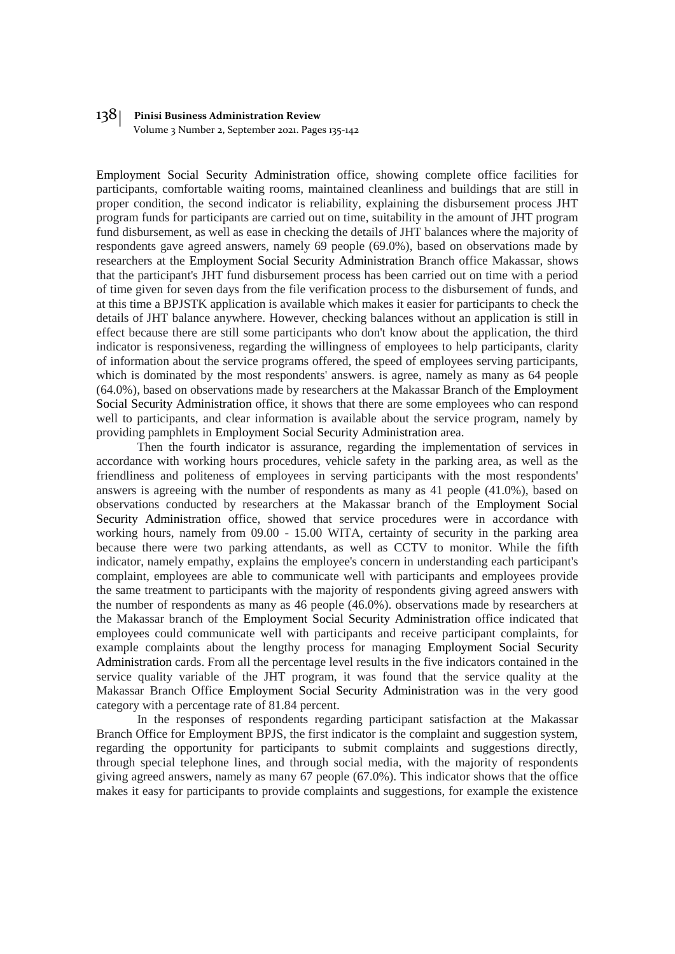Volume 3 Number 2, September 2021. Pages 135-142

Employment Social Security Administration office, showing complete office facilities for participants, comfortable waiting rooms, maintained cleanliness and buildings that are still in proper condition, the second indicator is reliability, explaining the disbursement process JHT program funds for participants are carried out on time, suitability in the amount of JHT program fund disbursement, as well as ease in checking the details of JHT balances where the majority of respondents gave agreed answers, namely 69 people (69.0%), based on observations made by researchers at the Employment Social Security Administration Branch office Makassar, shows that the participant's JHT fund disbursement process has been carried out on time with a period of time given for seven days from the file verification process to the disbursement of funds, and at this time a BPJSTK application is available which makes it easier for participants to check the details of JHT balance anywhere. However, checking balances without an application is still in effect because there are still some participants who don't know about the application, the third indicator is responsiveness, regarding the willingness of employees to help participants, clarity of information about the service programs offered, the speed of employees serving participants, which is dominated by the most respondents' answers. is agree, namely as many as 64 people (64.0%), based on observations made by researchers at the Makassar Branch of the Employment Social Security Administration office, it shows that there are some employees who can respond well to participants, and clear information is available about the service program, namely by providing pamphlets in Employment Social Security Administration area.

Then the fourth indicator is assurance, regarding the implementation of services in accordance with working hours procedures, vehicle safety in the parking area, as well as the friendliness and politeness of employees in serving participants with the most respondents' answers is agreeing with the number of respondents as many as 41 people (41.0%), based on observations conducted by researchers at the Makassar branch of the Employment Social Security Administration office, showed that service procedures were in accordance with working hours, namely from 09.00 - 15.00 WITA, certainty of security in the parking area because there were two parking attendants, as well as CCTV to monitor. While the fifth indicator, namely empathy, explains the employee's concern in understanding each participant's complaint, employees are able to communicate well with participants and employees provide the same treatment to participants with the majority of respondents giving agreed answers with the number of respondents as many as 46 people (46.0%). observations made by researchers at the Makassar branch of the Employment Social Security Administration office indicated that employees could communicate well with participants and receive participant complaints, for example complaints about the lengthy process for managing Employment Social Security Administration cards. From all the percentage level results in the five indicators contained in the service quality variable of the JHT program, it was found that the service quality at the Makassar Branch Office Employment Social Security Administration was in the very good category with a percentage rate of 81.84 percent.

In the responses of respondents regarding participant satisfaction at the Makassar Branch Office for Employment BPJS, the first indicator is the complaint and suggestion system, regarding the opportunity for participants to submit complaints and suggestions directly, through special telephone lines, and through social media, with the majority of respondents giving agreed answers, namely as many 67 people (67.0%). This indicator shows that the office makes it easy for participants to provide complaints and suggestions, for example the existence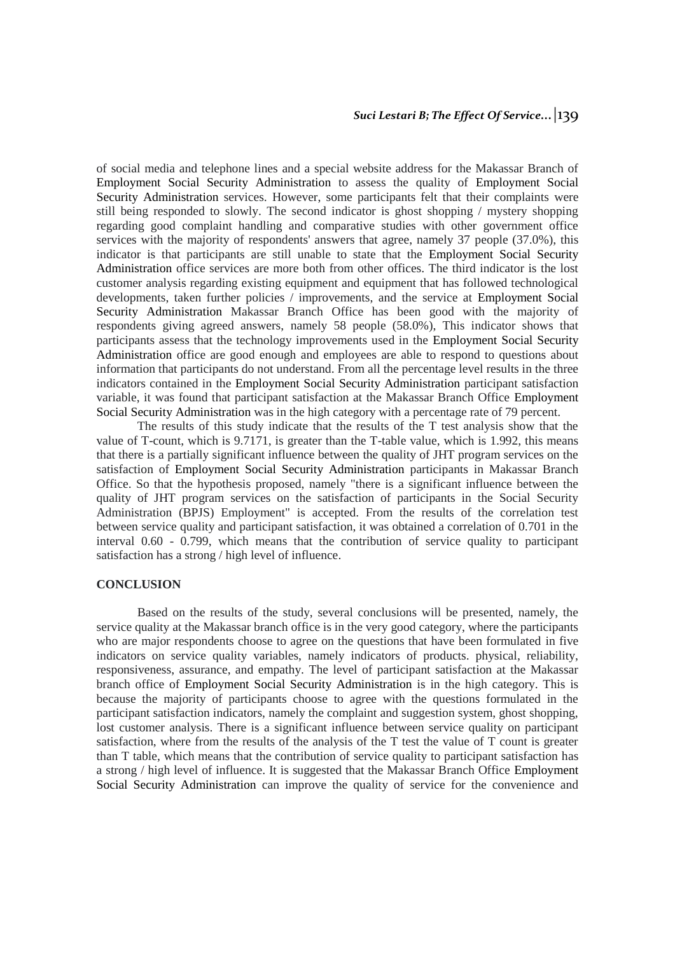of social media and telephone lines and a special website address for the Makassar Branch of Employment Social Security Administration to assess the quality of Employment Social Security Administration services. However, some participants felt that their complaints were still being responded to slowly. The second indicator is ghost shopping / mystery shopping regarding good complaint handling and comparative studies with other government office services with the majority of respondents' answers that agree, namely 37 people (37.0%), this indicator is that participants are still unable to state that the Employment Social Security Administration office services are more both from other offices. The third indicator is the lost customer analysis regarding existing equipment and equipment that has followed technological developments, taken further policies / improvements, and the service at Employment Social Security Administration Makassar Branch Office has been good with the majority of respondents giving agreed answers, namely 58 people (58.0%), This indicator shows that participants assess that the technology improvements used in the Employment Social Security Administration office are good enough and employees are able to respond to questions about information that participants do not understand. From all the percentage level results in the three indicators contained in the Employment Social Security Administration participant satisfaction variable, it was found that participant satisfaction at the Makassar Branch Office Employment Social Security Administration was in the high category with a percentage rate of 79 percent.

The results of this study indicate that the results of the T test analysis show that the value of T-count, which is 9.7171, is greater than the T-table value, which is 1.992, this means that there is a partially significant influence between the quality of JHT program services on the satisfaction of Employment Social Security Administration participants in Makassar Branch Office. So that the hypothesis proposed, namely "there is a significant influence between the quality of JHT program services on the satisfaction of participants in the Social Security Administration (BPJS) Employment" is accepted. From the results of the correlation test between service quality and participant satisfaction, it was obtained a correlation of 0.701 in the interval 0.60 - 0.799, which means that the contribution of service quality to participant satisfaction has a strong / high level of influence.

#### **CONCLUSION**

Based on the results of the study, several conclusions will be presented, namely, the service quality at the Makassar branch office is in the very good category, where the participants who are major respondents choose to agree on the questions that have been formulated in five indicators on service quality variables, namely indicators of products. physical, reliability, responsiveness, assurance, and empathy. The level of participant satisfaction at the Makassar branch office of Employment Social Security Administration is in the high category. This is because the majority of participants choose to agree with the questions formulated in the participant satisfaction indicators, namely the complaint and suggestion system, ghost shopping, lost customer analysis. There is a significant influence between service quality on participant satisfaction, where from the results of the analysis of the T test the value of T count is greater than T table, which means that the contribution of service quality to participant satisfaction has a strong / high level of influence. It is suggested that the Makassar Branch Office Employment Social Security Administration can improve the quality of service for the convenience and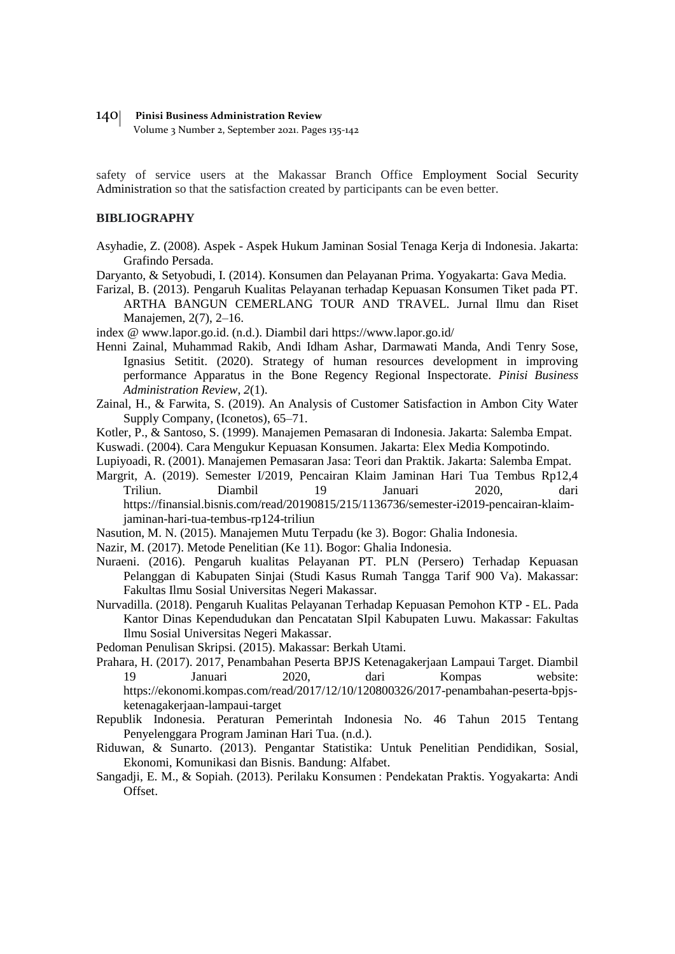Volume 3 Number 2, September 2021. Pages 135-142

safety of service users at the Makassar Branch Office Employment Social Security Administration so that the satisfaction created by participants can be even better.

### **BIBLIOGRAPHY**

- Asyhadie, Z. (2008). Aspek Aspek Hukum Jaminan Sosial Tenaga Kerja di Indonesia. Jakarta: Grafindo Persada.
- Daryanto, & Setyobudi, I. (2014). Konsumen dan Pelayanan Prima. Yogyakarta: Gava Media.
- Farizal, B. (2013). Pengaruh Kualitas Pelayanan terhadap Kepuasan Konsumen Tiket pada PT. ARTHA BANGUN CEMERLANG TOUR AND TRAVEL. Jurnal Ilmu dan Riset Manajemen, 2(7), 2–16.
- index @ www.lapor.go.id. (n.d.). Diambil dari https://www.lapor.go.id/
- Henni Zainal, Muhammad Rakib, Andi Idham Ashar, Darmawati Manda, Andi Tenry Sose, Ignasius Setitit. (2020). Strategy of human resources development in improving performance Apparatus in the Bone Regency Regional Inspectorate. *Pinisi Business Administration Review*, *2*(1).
- Zainal, H., & Farwita, S. (2019). An Analysis of Customer Satisfaction in Ambon City Water Supply Company, (Iconetos), 65–71.
- Kotler, P., & Santoso, S. (1999). Manajemen Pemasaran di Indonesia. Jakarta: Salemba Empat.
- Kuswadi. (2004). Cara Mengukur Kepuasan Konsumen. Jakarta: Elex Media Kompotindo.
- Lupiyoadi, R. (2001). Manajemen Pemasaran Jasa: Teori dan Praktik. Jakarta: Salemba Empat.
- Margrit, A. (2019). Semester I/2019, Pencairan Klaim Jaminan Hari Tua Tembus Rp12,4 Triliun. Diambil 19 Januari 2020, dari https://finansial.bisnis.com/read/20190815/215/1136736/semester-i2019-pencairan-klaimjaminan-hari-tua-tembus-rp124-triliun
- Nasution, M. N. (2015). Manajemen Mutu Terpadu (ke 3). Bogor: Ghalia Indonesia.
- Nazir, M. (2017). Metode Penelitian (Ke 11). Bogor: Ghalia Indonesia.
- Nuraeni. (2016). Pengaruh kualitas Pelayanan PT. PLN (Persero) Terhadap Kepuasan Pelanggan di Kabupaten Sinjai (Studi Kasus Rumah Tangga Tarif 900 Va). Makassar: Fakultas Ilmu Sosial Universitas Negeri Makassar.
- Nurvadilla. (2018). Pengaruh Kualitas Pelayanan Terhadap Kepuasan Pemohon KTP EL. Pada Kantor Dinas Kependudukan dan Pencatatan SIpil Kabupaten Luwu. Makassar: Fakultas Ilmu Sosial Universitas Negeri Makassar.
- Pedoman Penulisan Skripsi. (2015). Makassar: Berkah Utami.
- Prahara, H. (2017). 2017, Penambahan Peserta BPJS Ketenagakerjaan Lampaui Target. Diambil 19 Januari 2020, dari Kompas website: https://ekonomi.kompas.com/read/2017/12/10/120800326/2017-penambahan-peserta-bpjsketenagakerjaan-lampaui-target
- Republik Indonesia. Peraturan Pemerintah Indonesia No. 46 Tahun 2015 Tentang Penyelenggara Program Jaminan Hari Tua. (n.d.).
- Riduwan, & Sunarto. (2013). Pengantar Statistika: Untuk Penelitian Pendidikan, Sosial, Ekonomi, Komunikasi dan Bisnis. Bandung: Alfabet.
- Sangadji, E. M., & Sopiah. (2013). Perilaku Konsumen : Pendekatan Praktis. Yogyakarta: Andi **Offset**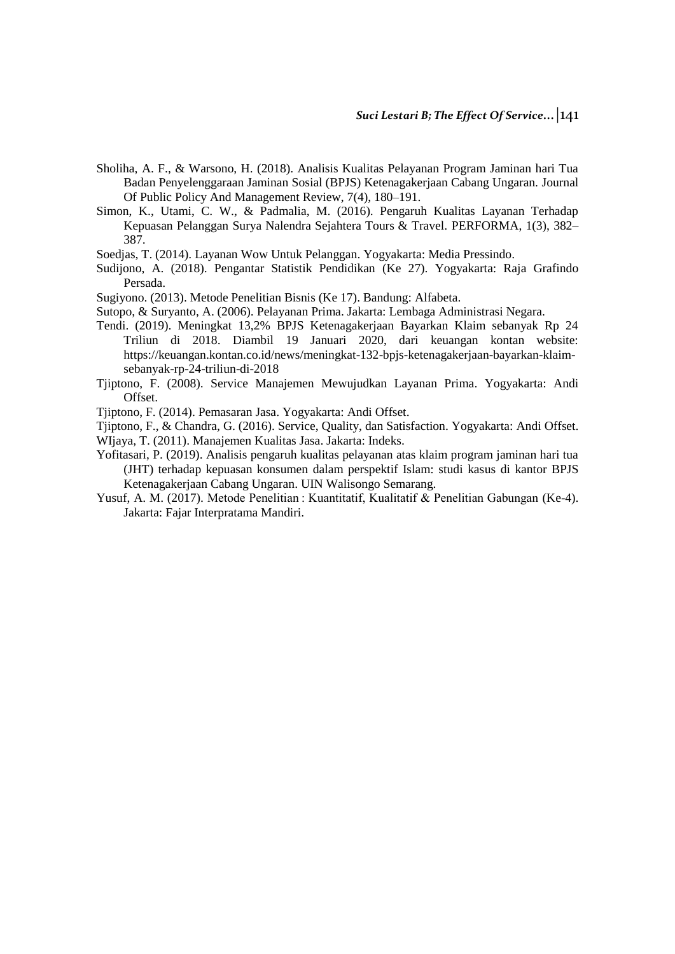- Sholiha, A. F., & Warsono, H. (2018). Analisis Kualitas Pelayanan Program Jaminan hari Tua Badan Penyelenggaraan Jaminan Sosial (BPJS) Ketenagakerjaan Cabang Ungaran. Journal Of Public Policy And Management Review, 7(4), 180–191.
- Simon, K., Utami, C. W., & Padmalia, M. (2016). Pengaruh Kualitas Layanan Terhadap Kepuasan Pelanggan Surya Nalendra Sejahtera Tours & Travel. PERFORMA, 1(3), 382– 387.
- Soedjas, T. (2014). Layanan Wow Untuk Pelanggan. Yogyakarta: Media Pressindo.
- Sudijono, A. (2018). Pengantar Statistik Pendidikan (Ke 27). Yogyakarta: Raja Grafindo Persada.
- Sugiyono. (2013). Metode Penelitian Bisnis (Ke 17). Bandung: Alfabeta.
- Sutopo, & Suryanto, A. (2006). Pelayanan Prima. Jakarta: Lembaga Administrasi Negara.
- Tendi. (2019). Meningkat 13,2% BPJS Ketenagakerjaan Bayarkan Klaim sebanyak Rp 24 Triliun di 2018. Diambil 19 Januari 2020, dari keuangan kontan website: https://keuangan.kontan.co.id/news/meningkat-132-bpjs-ketenagakerjaan-bayarkan-klaimsebanyak-rp-24-triliun-di-2018
- Tjiptono, F. (2008). Service Manajemen Mewujudkan Layanan Prima. Yogyakarta: Andi Offset.
- Tjiptono, F. (2014). Pemasaran Jasa. Yogyakarta: Andi Offset.
- Tjiptono, F., & Chandra, G. (2016). Service, Quality, dan Satisfaction. Yogyakarta: Andi Offset.
- WIjaya, T. (2011). Manajemen Kualitas Jasa. Jakarta: Indeks.
- Yofitasari, P. (2019). Analisis pengaruh kualitas pelayanan atas klaim program jaminan hari tua (JHT) terhadap kepuasan konsumen dalam perspektif Islam: studi kasus di kantor BPJS Ketenagakerjaan Cabang Ungaran. UIN Walisongo Semarang.
- Yusuf, A. M. (2017). Metode Penelitian : Kuantitatif, Kualitatif & Penelitian Gabungan (Ke-4). Jakarta: Fajar Interpratama Mandiri.